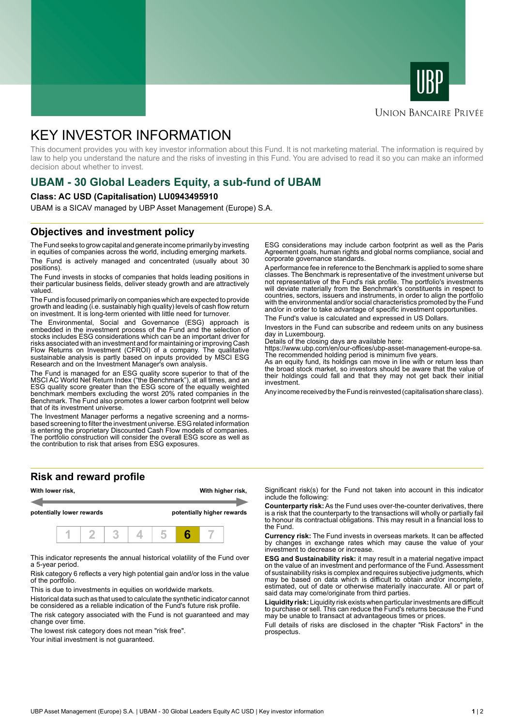



### **UNION BANCAIRE PRIVÉE**

# KEY INVESTOR INFORMATION

This document provides you with key investor information about this Fund. It is not marketing material. The information is required by law to help you understand the nature and the risks of investing in this Fund. You are advised to read it so you can make an informed decision about whether to invest.

# **UBAM - 30 Global Leaders Equity, a sub-fund of UBAM**

### **Class: AC USD (Capitalisation) LU0943495910**

UBAM is a SICAV managed by UBP Asset Management (Europe) S.A.

### **Objectives and investment policy**

The Fund seeks to grow capital and generate income primarily by investing in equities of companies across the world, including emerging markets. The Fund is actively managed and concentrated (usually about 30 positions).

The Fund invests in stocks of companies that holds leading positions in their particular business fields, deliver steady growth and are attractively valued.

The Fund is focused primarily on companies which are expected to provide growth and leading (i.e. sustainably high quality) levels of cash flow return on investment. It is long-term oriented with little need for turnover.

The Environmental, Social and Governance (ESG) approach is embedded in the investment process of the Fund and the selection of stocks includes ESG considerations which can be an important driver for risks associated with an investment and for maintaining or improving Cash Flow Returns on Investment (CFROI) of a company. The qualitative sustainable analysis is partly based on inputs provided by MSCI ESG Research and on the Investment Manager's own analysis.

The Fund is managed for an ESG quality score superior to that of the MSCI AC World Net Return Index ("the Benchmark"), at all times, and an ESG quality score greater than the ESG score of the equally weighted benchmark members excluding the worst 20% rated companies in the Benchmark. The Fund also promotes a lower carbon footprint well below that of its investment universe.

The Investment Manager performs a negative screening and a normsbased screening to filter the investment universe. ESG related information is entering the proprietary Discounted Cash Flow models of companies. The portfolio construction will consider the overall ESG score as well as the contribution to risk that arises from ESG exposures.

**Risk and reward profile**



This indicator represents the annual historical volatility of the Fund over a 5-year period.

Risk category 6 reflects a very high potential gain and/or loss in the value of the portfolio.

This is due to investments in equities on worldwide markets.

Historical data such as that used to calculate the synthetic indicator cannot be considered as a reliable indication of the Fund's future risk profile.

The risk category associated with the Fund is not guaranteed and may change over time.

The lowest risk category does not mean "risk free".

Your initial investment is not quaranteed.

ESG considerations may include carbon footprint as well as the Paris Agreement goals, human rights and global norms compliance, social and corporate governance standards.

A performance fee in reference to the Benchmark is applied to some share classes. The Benchmark is representative of the investment universe but not representative of the Fund's risk profile. The portfolio's investments will deviate materially from the Benchmark's constituents in respect to countries, sectors, issuers and instruments, in order to align the portfolio with the environmental and/or social characteristics promoted by the Fund and/or in order to take advantage of specific investment opportunities.

The Fund's value is calculated and expressed in US Dollars.

Investors in the Fund can subscribe and redeem units on any business day in Luxembourg.

Details of the closing days are available here:

https://www.ubp.com/en/our-offices/ubp-asset-management-europe-sa. The recommended holding period is minimum five years.

As an equity fund, its holdings can move in line with or return less than the broad stock market, so investors should be aware that the value of their holdings could fall and that they may not get back their initial investment.

Any income received by the Fund is reinvested (capitalisation share class).

Significant risk(s) for the Fund not taken into account in this indicator include the following:

**Counterparty risk:** As the Fund uses over-the-counter derivatives, there is a risk that the counterparty to the transactions will wholly or partially fail to honour its contractual obligations. This may result in a financial loss to the Fund.

**Currency risk:** The Fund invests in overseas markets. It can be affected by changes in exchange rates which may cause the value of your investment to decrease or increase.

**ESG and Sustainability risk:** it may result in a material negative impact on the value of an investment and performance of the Fund. Assessment of sustainability risks is complex and requires subjective judgments, which may be based on data which is difficult to obtain and/or incomplete, estimated, out of date or otherwise materially inaccurate. All or part of said data may come/originate from third parties.

**Liquidity risk:** Liquidity risk exists when particular investments are difficult to purchase or sell. This can reduce the Fund's returns because the Fund may be unable to transact at advantageous times or prices.

Full details of risks are disclosed in the chapter "Risk Factors" in the prospectus.